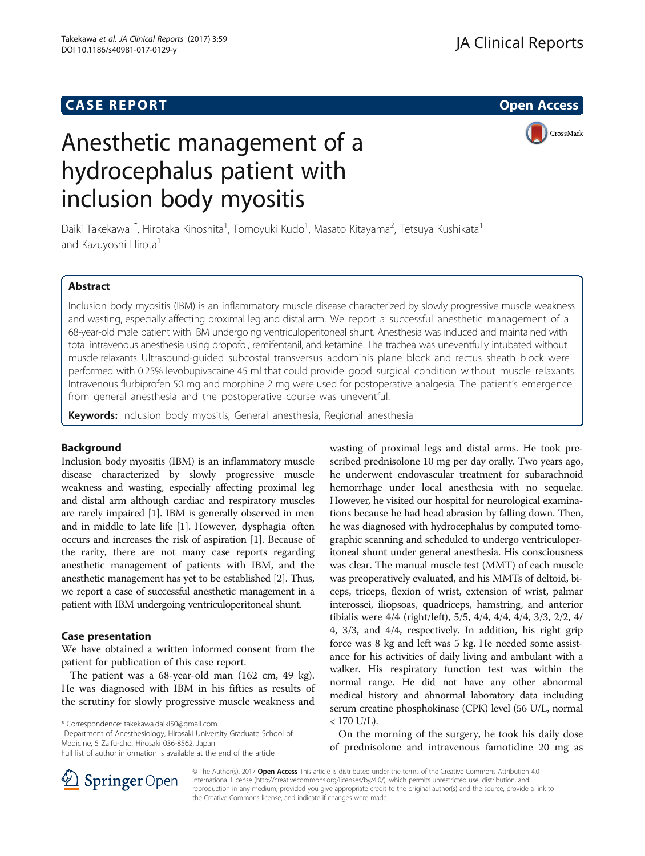# **CASE REPORT And SERVICE SERVICE SERVICE SERVICE SERVICE SERVICE SERVICE SERVICE SERVICE SERVICE SERVICE SERVICE**

# Anesthetic management of a hydrocephalus patient with inclusion body myositis

CrossMark

Daiki Takekawa<sup>1\*</sup>, Hirotaka Kinoshita<sup>1</sup>, Tomoyuki Kudo<sup>1</sup>, Masato Kitayama<sup>2</sup>, Tetsuya Kushikata<sup>1</sup> and Kazuyoshi Hirota<sup>1</sup>

# Abstract

Inclusion body myositis (IBM) is an inflammatory muscle disease characterized by slowly progressive muscle weakness and wasting, especially affecting proximal leg and distal arm. We report a successful anesthetic management of a 68-year-old male patient with IBM undergoing ventriculoperitoneal shunt. Anesthesia was induced and maintained with total intravenous anesthesia using propofol, remifentanil, and ketamine. The trachea was uneventfully intubated without muscle relaxants. Ultrasound-guided subcostal transversus abdominis plane block and rectus sheath block were performed with 0.25% levobupivacaine 45 ml that could provide good surgical condition without muscle relaxants. Intravenous flurbiprofen 50 mg and morphine 2 mg were used for postoperative analgesia. The patient's emergence from general anesthesia and the postoperative course was uneventful.

Keywords: Inclusion body myositis, General anesthesia, Regional anesthesia

# Background

Inclusion body myositis (IBM) is an inflammatory muscle disease characterized by slowly progressive muscle weakness and wasting, especially affecting proximal leg and distal arm although cardiac and respiratory muscles are rarely impaired [[1\]](#page-2-0). IBM is generally observed in men and in middle to late life [\[1](#page-2-0)]. However, dysphagia often occurs and increases the risk of aspiration [\[1](#page-2-0)]. Because of the rarity, there are not many case reports regarding anesthetic management of patients with IBM, and the anesthetic management has yet to be established [[2](#page-2-0)]. Thus, we report a case of successful anesthetic management in a patient with IBM undergoing ventriculoperitoneal shunt.

# Case presentation

We have obtained a written informed consent from the patient for publication of this case report.

The patient was a 68-year-old man (162 cm, 49 kg). He was diagnosed with IBM in his fifties as results of the scrutiny for slowly progressive muscle weakness and

\* Correspondence: [takekawa.daiki50@gmail.com](mailto:takekawa.daiki50@gmail.com) <sup>1</sup>

<sup>1</sup>Department of Anesthesiology, Hirosaki University Graduate School of Medicine, 5 Zaifu-cho, Hirosaki 036-8562, Japan

wasting of proximal legs and distal arms. He took prescribed [prednisolone](http://ejje.weblio.jp/content/prednisolone) 10 mg per day orally. Two years ago, he underwent endovascular treatment for subarachnoid hemorrhage under local anesthesia with no sequelae. However, he visited our hospital for neurological examinations because he had head abrasion by falling down. Then, he was diagnosed with hydrocephalus by [computed tomo](http://ejje.weblio.jp/content/computed+tomographic+scanning)[graphic scanning](http://ejje.weblio.jp/content/computed+tomographic+scanning) and scheduled to undergo ventriculoperitoneal shunt under general anesthesia. His consciousness was clear. The manual muscle test (MMT) of each muscle was preoperatively evaluated, and his MMTs of deltoid, biceps, triceps, flexion of wrist, extension of wrist, palmar interossei, iliopsoas, quadriceps, hamstring, and anterior tibialis were 4/4 (right/left), 5/5, 4/4, 4/4, 4/4, 3/3, 2/2, 4/ 4, 3/3, and 4/4, respectively. In addition, his right grip force was 8 kg and left was 5 kg. He needed some assistance for his activities of daily living and ambulant with a walker. His respiratory function test was within the normal range. He did not have any other abnormal medical history and abnormal laboratory data including serum creatine phosphokinase (CPK) level (56 U/L, normal  $< 170$  U/L).

On the morning of the surgery, he took his daily dose of [prednisolone](http://ejje.weblio.jp/content/prednisolone) and intravenous famotidine 20 mg as



© The Author(s). 2017 Open Access This article is distributed under the terms of the Creative Commons Attribution 4.0 International License ([http://creativecommons.org/licenses/by/4.0/\)](http://creativecommons.org/licenses/by/4.0/), which permits unrestricted use, distribution, and reproduction in any medium, provided you give appropriate credit to the original author(s) and the source, provide a link to the Creative Commons license, and indicate if changes were made.

Full list of author information is available at the end of the article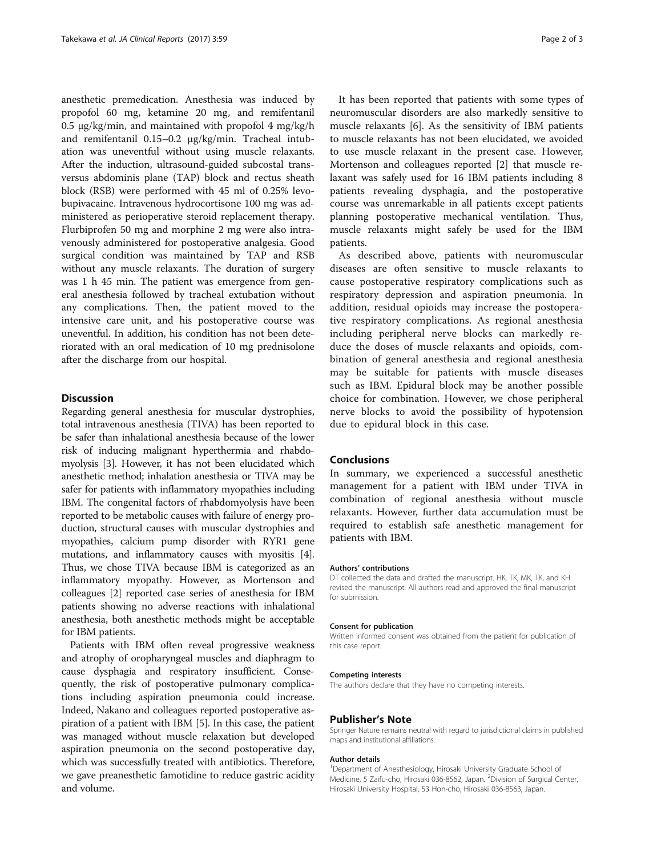anesthetic premedication. Anesthesia was induced by propofol 60 mg, ketamine 20 mg, and remifentanil 0.5  $\mu$ g/kg/min, and maintained with propofol 4 mg/kg/h and remifentanil 0.15–0.2 μg/kg/min. Tracheal intubation was uneventful without using muscle relaxants. After the induction, ultrasound-guided subcostal transversus abdominis plane (TAP) block and rectus sheath block (RSB) were performed with 45 ml of 0.25% levobupivacaine. Intravenous hydrocortisone 100 mg was administered as perioperative steroid replacement therapy. Flurbiprofen 50 mg and morphine 2 mg were also intravenously administered for postoperative analgesia. Good surgical condition was maintained by TAP and RSB without any muscle relaxants. The duration of surgery was 1 h 45 min. The patient was emergence from general anesthesia followed by tracheal extubation without any complications. Then, the patient moved to the intensive care unit, and his postoperative course was uneventful. In addition, his condition has not been deteriorated with an oral medication of 10 mg prednisolone after the discharge from our hospital.

# Discussion

Regarding general anesthesia for muscular dystrophies, total intravenous anesthesia (TIVA) has been reported to be safer than inhalational anesthesia because of the lower risk of inducing malignant hyperthermia and rhabdomyolysis [\[3\]](#page-2-0). However, it has not been elucidated which anesthetic method; inhalation anesthesia or TIVA may be safer for patients with inflammatory myopathies including IBM. The congenital factors of rhabdomyolysis have been reported to be metabolic causes with failure of energy production, structural causes with muscular dystrophies and myopathies, calcium pump disorder with RYR1 gene mutations, and inflammatory causes with myositis [[4](#page-2-0)]. Thus, we chose TIVA because IBM is categorized as an inflammatory myopathy. However, as Mortenson and colleagues [\[2](#page-2-0)] reported case series of anesthesia for IBM patients showing no adverse reactions with inhalational anesthesia, both anesthetic methods might be acceptable for IBM patients.

Patients with IBM often reveal progressive weakness and atrophy of oropharyngeal muscles and diaphragm to cause dysphagia and respiratory insufficient. Consequently, the risk of postoperative pulmonary complications including aspiration pneumonia could increase. Indeed, Nakano and colleagues reported postoperative aspiration of a patient with IBM [[5\]](#page-2-0). In this case, the patient was managed without muscle relaxation but developed aspiration pneumonia on the second postoperative day, which was successfully treated with antibiotics. Therefore, we gave preanesthetic famotidine to reduce gastric acidity and volume.

It has been reported that patients with some types of neuromuscular disorders are also markedly sensitive to muscle relaxants [\[6](#page-2-0)]. As the sensitivity of IBM patients to muscle relaxants has not been elucidated, we avoided to use muscle relaxant in the present case. However, Mortenson and colleagues reported [\[2](#page-2-0)] that muscle relaxant was safely used for 16 IBM patients including 8 patients revealing dysphagia, and the postoperative course was unremarkable in all patients except patients planning postoperative mechanical ventilation. Thus, muscle relaxants might safely be used for the IBM patients.

As described above, patients with neuromuscular diseases are often sensitive to muscle relaxants to cause postoperative respiratory complications such as respiratory depression and aspiration pneumonia. In addition, residual opioids may increase the postoperative respiratory complications. As regional anesthesia including peripheral nerve blocks can markedly reduce the doses of muscle relaxants and opioids, combination of general anesthesia and regional anesthesia may be suitable for patients with muscle diseases such as IBM. Epidural block may be another possible choice for combination. However, we chose peripheral nerve blocks to avoid the possibility of hypotension due to epidural block in this case.

## Conclusions

In summary, we [experienced](http://ejje.weblio.jp/content/experience) a successful anesthetic management for a patient with IBM under TIVA in combination of regional anesthesia without muscle relaxants. However, further data accumulation must be required to establish safe anesthetic management for patients with IBM.

#### Authors' contributions

DT collected the data and drafted the manuscript. HK, TK, MK, TK, and KH revised the manuscript. All authors read and approved the final manuscript for submission.

#### Consent for publication

Written informed consent was obtained from the patient for publication of this case report.

#### Competing interests

The authors declare that they have no competing interests.

## Publisher's Note

Springer Nature remains neutral with regard to jurisdictional claims in published maps and institutional affiliations.

#### Author details

<sup>1</sup>Department of Anesthesiology, Hirosaki University Graduate School of Medicine, 5 Zaifu-cho, Hirosaki 036-8562, Japan. <sup>2</sup> Division of Surgical Center, Hirosaki University Hospital, 53 Hon-cho, Hirosaki 036-8563, Japan.